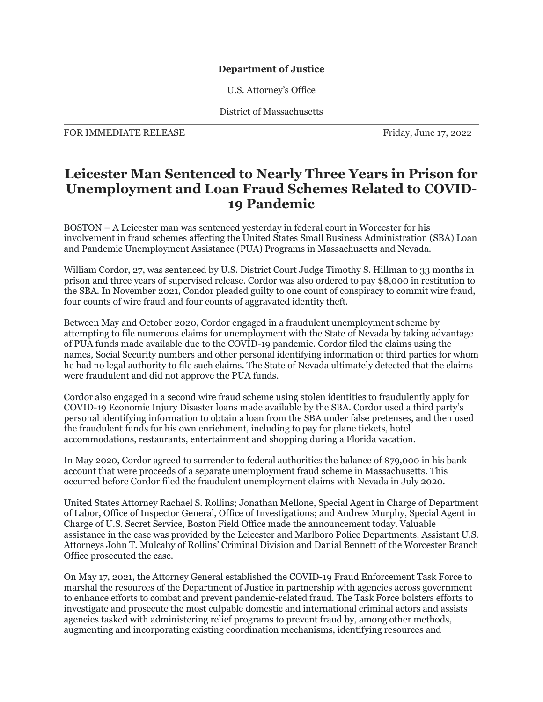## **Department of Justice**

U.S. Attorney's Office

District of Massachusetts

FOR IMMEDIATE RELEASE FRIDAY Friday, June 17, 2022

## **Leicester Man Sentenced to Nearly Three Years in Prison for Unemployment and Loan Fraud Schemes Related to COVID-19 Pandemic**

BOSTON – A Leicester man was sentenced yesterday in federal court in Worcester for his involvement in fraud schemes affecting the United States Small Business Administration (SBA) Loan and Pandemic Unemployment Assistance (PUA) Programs in Massachusetts and Nevada.

William Cordor, 27, was sentenced by U.S. District Court Judge Timothy S. Hillman to 33 months in prison and three years of supervised release. Cordor was also ordered to pay \$8,000 in restitution to the SBA. In November 2021, Condor pleaded guilty to one count of conspiracy to commit wire fraud, four counts of wire fraud and four counts of aggravated identity theft.

Between May and October 2020, Cordor engaged in a fraudulent unemployment scheme by attempting to file numerous claims for unemployment with the State of Nevada by taking advantage of PUA funds made available due to the COVID-19 pandemic. Cordor filed the claims using the names, Social Security numbers and other personal identifying information of third parties for whom he had no legal authority to file such claims. The State of Nevada ultimately detected that the claims were fraudulent and did not approve the PUA funds.

Cordor also engaged in a second wire fraud scheme using stolen identities to fraudulently apply for COVID-19 Economic Injury Disaster loans made available by the SBA. Cordor used a third party's personal identifying information to obtain a loan from the SBA under false pretenses, and then used the fraudulent funds for his own enrichment, including to pay for plane tickets, hotel accommodations, restaurants, entertainment and shopping during a Florida vacation.

In May 2020, Cordor agreed to surrender to federal authorities the balance of \$79,000 in his bank account that were proceeds of a separate unemployment fraud scheme in Massachusetts. This occurred before Cordor filed the fraudulent unemployment claims with Nevada in July 2020.

United States Attorney Rachael S. Rollins; Jonathan Mellone, Special Agent in Charge of Department of Labor, Office of Inspector General, Office of Investigations; and Andrew Murphy, Special Agent in Charge of U.S. Secret Service, Boston Field Office made the announcement today. Valuable assistance in the case was provided by the Leicester and Marlboro Police Departments. Assistant U.S. Attorneys John T. Mulcahy of Rollins' Criminal Division and Danial Bennett of the Worcester Branch Office prosecuted the case.

On May 17, 2021, the Attorney General established the COVID-19 Fraud Enforcement Task Force to marshal the resources of the Department of Justice in partnership with agencies across government to enhance efforts to combat and prevent pandemic-related fraud. The Task Force bolsters efforts to investigate and prosecute the most culpable domestic and international criminal actors and assists agencies tasked with administering relief programs to prevent fraud by, among other methods, augmenting and incorporating existing coordination mechanisms, identifying resources and